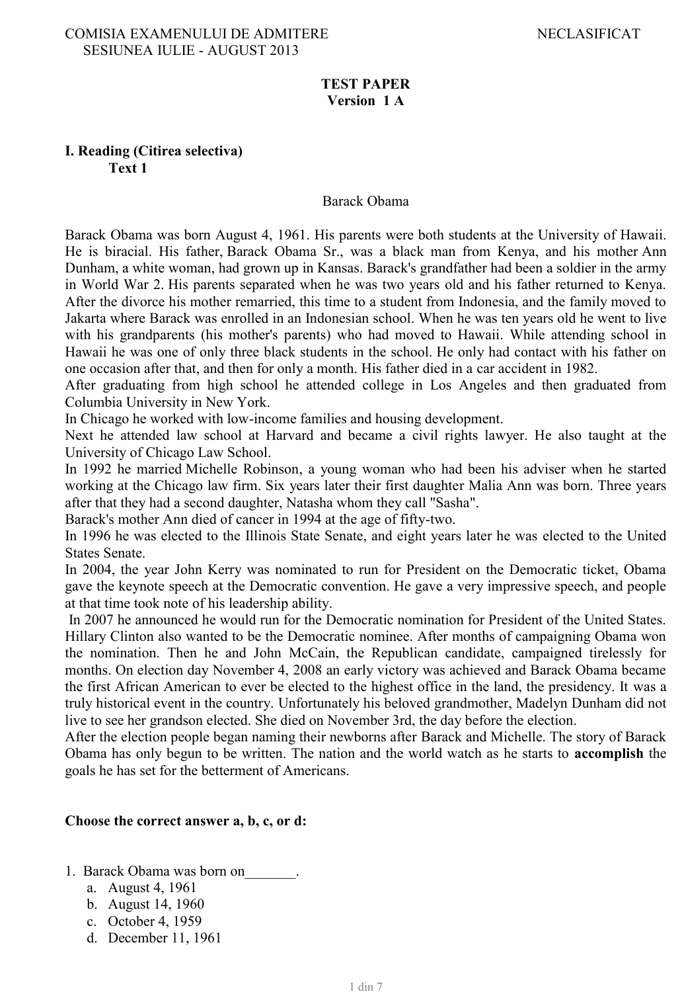### **TEST PAPER Version 1 A**

### **I. Reading (Citirea selectiva) Text 1**

#### Barack Obama

Barack Obama was born August 4, 1961. His parents were both students at the University of Hawaii. He is biracial. His father, Barack Obama Sr., was a black man from Kenya, and his mother Ann Dunham, a white woman, had grown up in Kansas. Barack's grandfather had been a soldier in the army in World War 2. His parents separated when he was two years old and his father returned to Kenya. After the divorce his mother remarried, this time to a student from Indonesia, and the family moved to Jakarta where Barack was enrolled in an Indonesian school. When he was ten years old he went to live with his grandparents (his mother's parents) who had moved to Hawaii. While attending school in Hawaii he was one of only three black students in the school. He only had contact with his father on one occasion after that, and then for only a month. His father died in a car accident in 1982.

After graduating from high school he attended college in Los Angeles and then graduated from Columbia University in New York.

In Chicago he worked with low-income families and housing development.

Next he attended law school at Harvard and became a civil rights lawyer. He also taught at the University of Chicago Law School.

In 1992 he married Michelle Robinson, a young woman who had been his adviser when he started working at the Chicago law firm. Six years later their first daughter Malia Ann was born. Three years after that they had a second daughter, Natasha whom they call "Sasha".

Barack's mother Ann died of cancer in 1994 at the age of fifty-two.

In 1996 he was elected to the Illinois State Senate, and eight years later he was elected to the United States Senate.

In 2004, the year John Kerry was nominated to run for President on the Democratic ticket, Obama gave the keynote speech at the Democratic convention. He gave a very impressive speech, and people at that time took note of his leadership ability.

In 2007 he announced he would run for the Democratic nomination for President of the United States. Hillary Clinton also wanted to be the Democratic nominee. After months of campaigning Obama won the nomination. Then he and John McCain, the Republican candidate, campaigned tirelessly for months. On election day November 4, 2008 an early victory was achieved and Barack Obama became the first African American to ever be elected to the highest office in the land, the presidency. It was a truly historical event in the country. Unfortunately his beloved grandmother, Madelyn Dunham did not live to see her grandson elected. She died on November 3rd, the day before the election.

After the election people began naming their newborns after Barack and Michelle. The story of Barack Obama has only begun to be written. The nation and the world watch as he starts to **accomplish** the goals he has set for the betterment of Americans.

### **Choose the correct answer a, b, c, or d:**

- 1. Barack Obama was born on
	- a. August 4, 1961
	- b. August 14, 1960
	- c. October 4, 1959
	- d. December 11, 1961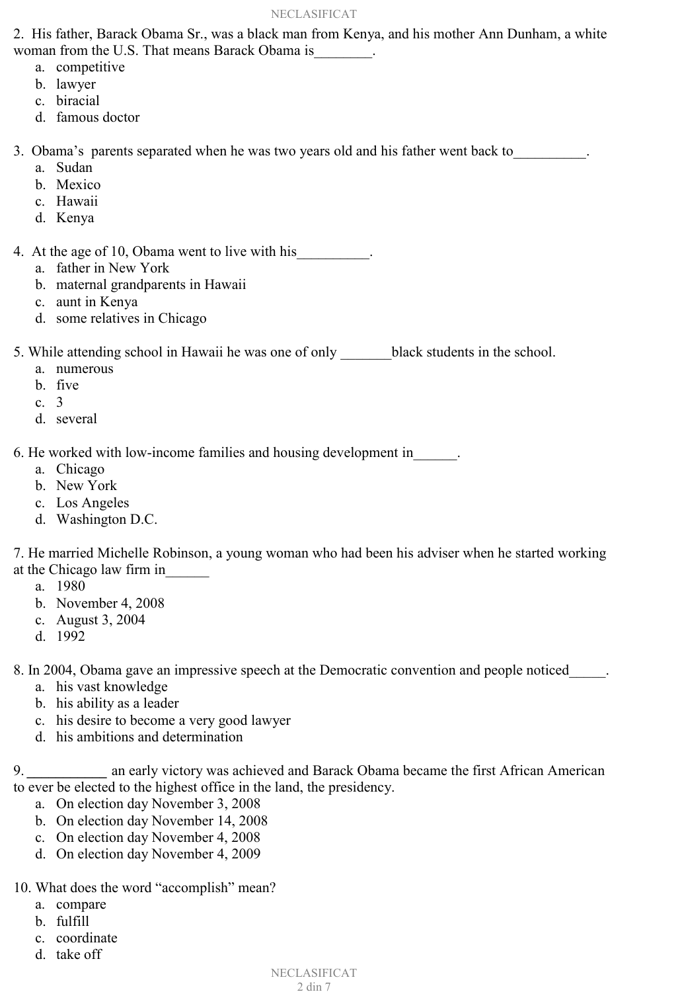#### NECLASIFICAT

2. His father, Barack Obama Sr., was a black man from Kenya, and his mother Ann Dunham, a white woman from the U.S. That means Barack Obama is

- a. competitive
- b. lawyer
- c. biracial
- d. famous doctor

3. Obama's parents separated when he was two years old and his father went back to

- a. Sudan
- b. Mexico
- c. Hawaii
- d. Kenya

4. At the age of 10, Obama went to live with his

- a. father in New York
- b. maternal grandparents in Hawaii
- c. aunt in Kenya
- d. some relatives in Chicago

5. While attending school in Hawaii he was one of only black students in the school.

- a. numerous
- b. five
- c. 3
- d. several

6. He worked with low-income families and housing development in

- a. Chicago
- b. New York
- c. Los Angeles
- d. Washington D.C.

7. He married Michelle Robinson, a young woman who had been his adviser when he started working at the Chicago law firm in\_\_\_\_\_\_

- a. 1980
- b. November 4, 2008
- c. August 3, 2004
- d. 1992

8. In 2004, Obama gave an impressive speech at the Democratic convention and people noticed

- a. his vast knowledge
- b. his ability as a leader
- c. his desire to become a very good lawyer
- d. his ambitions and determination

9. **an early victory was achieved and Barack Obama became the first African American** to ever be elected to the highest office in the land, the presidency.

- a. On election day November 3, 2008
- b. On election day November 14, 2008
- c. On election day November 4, 2008
- d. On election day November 4, 2009
- 10. What does the word "accomplish" mean?
	- a. compare
		- b. fulfill
		- c. coordinate
		- d. take off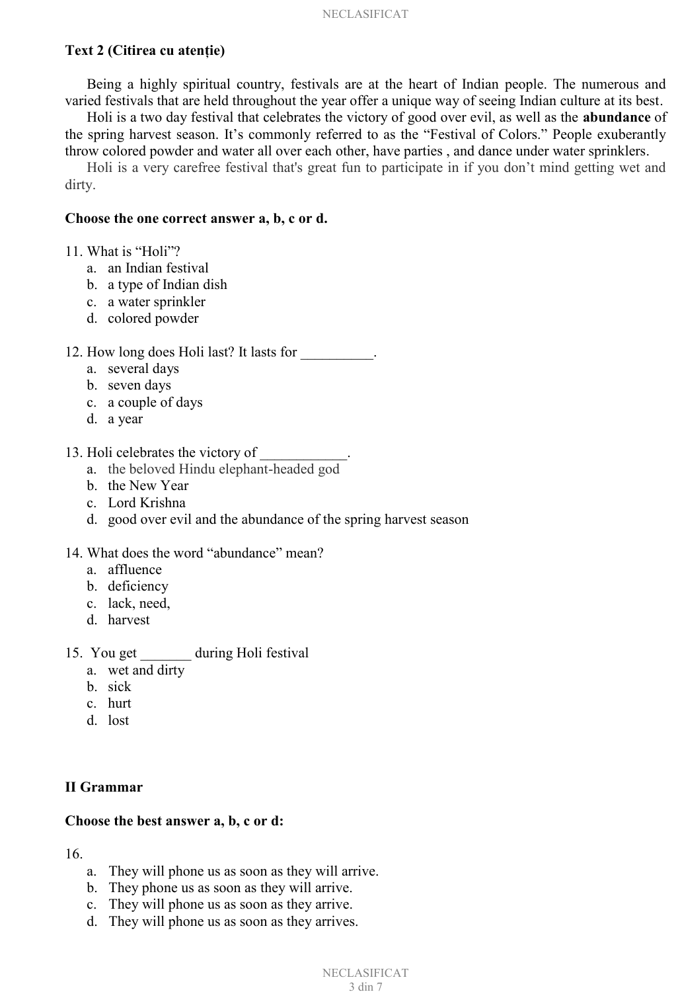### **Text 2 (Citirea cu atenţie)**

Being a highly spiritual country, festivals are at the heart of Indian people. The numerous and varied festivals that are held throughout the year offer a unique way of seeing Indian culture at its best.

 Holi is a two day festival that celebrates the victory of good over evil, as well as the **abundance** of the spring harvest season. It's commonly referred to as the "Festival of Colors." People exuberantly throw colored powder and water all over each other, have parties , and dance under water sprinklers.

Holi is a very carefree festival that's great fun to participate in if you don't mind getting wet and dirty.

#### **Choose the one correct answer a, b, c or d.**

- 11. What is "Holi"?
	- a. an Indian festival
	- b. a type of Indian dish
	- c. a water sprinkler
	- d. colored powder

### 12. How long does Holi last? It lasts for \_\_\_\_\_\_\_\_\_\_.

- a. several days
- b. seven days
- c. a couple of days
- d. a year
- 13. Holi celebrates the victory of
	- a. the beloved Hindu elephant-headed god
	- b. the New Year
	- c. Lord Krishna
	- d. good over evil and the abundance of the spring harvest season

#### 14. What does the word "abundance" mean?

- a. affluence
- b. deficiency
- c. lack, need,
- d. harvest
- 15. You get \_\_\_\_\_\_\_ during Holi festival
	- a. wet and dirty
	- b. sick
	- c. hurt
	- d. lost

#### **II Grammar**

#### **Choose the best answer a, b, c or d:**

16.

- a. They will phone us as soon as they will arrive.
- b. They phone us as soon as they will arrive.
- c. They will phone us as soon as they arrive.
- d. They will phone us as soon as they arrives.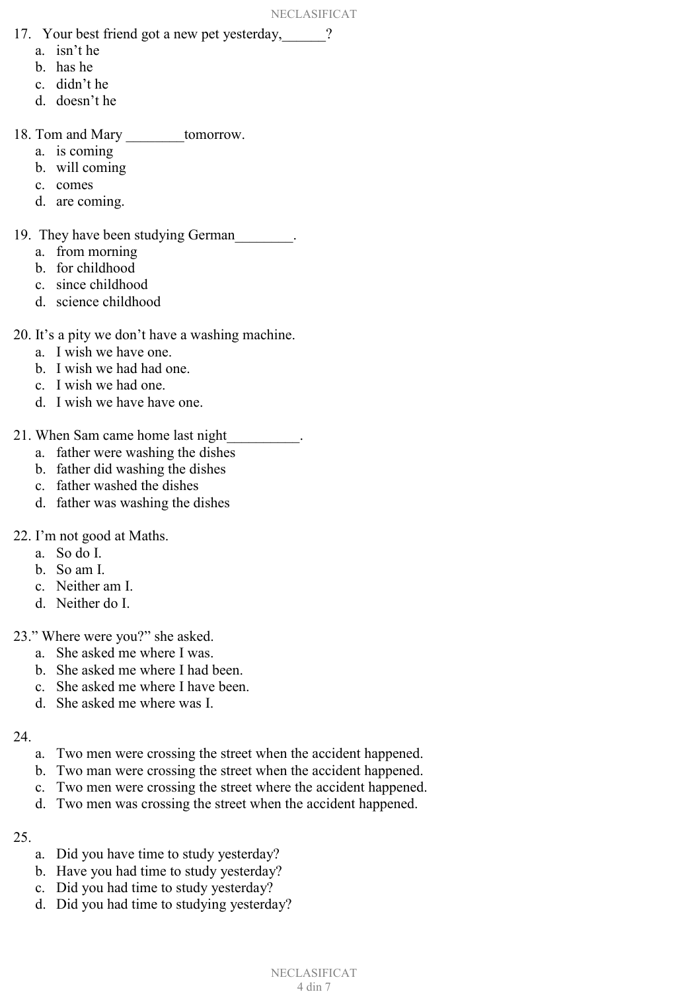- 17. Your best friend got a new pet yesterday,\_\_\_\_\_\_?
	- a. isn't he
	- b. has he
	- c. didn't he
	- d. doesn't he
- 18. Tom and Mary \_\_\_\_\_\_\_\_tomorrow.
	- a. is coming
	- b. will coming
	- c. comes
	- d. are coming.
- 19. They have been studying German<sub>\_\_\_\_\_\_\_</sub>.
	- a. from morning
	- b. for childhood
	- c. since childhood
	- d. science childhood
- 20. It's a pity we don't have a washing machine.
	- a. I wish we have one.
	- b. I wish we had had one.
	- c. I wish we had one.
	- d. I wish we have have one.
- 21. When Sam came home last night
	- a. father were washing the dishes
	- b. father did washing the dishes
	- c. father washed the dishes
	- d. father was washing the dishes
- 22. I'm not good at Maths.
	- a. So do I.
	- b. So am I.
	- c. Neither am I.
	- d. Neither do I.
- 23." Where were you?" she asked.
	- a. She asked me where I was.
	- b. She asked me where I had been.
	- c. She asked me where I have been.
	- d. She asked me where was I.
- 24.
	- a. Two men were crossing the street when the accident happened.
	- b. Two man were crossing the street when the accident happened.
	- c. Two men were crossing the street where the accident happened.
	- d. Two men was crossing the street when the accident happened.
- 25.
	- a. Did you have time to study yesterday?
	- b. Have you had time to study yesterday?
	- c. Did you had time to study yesterday?
	- d. Did you had time to studying yesterday?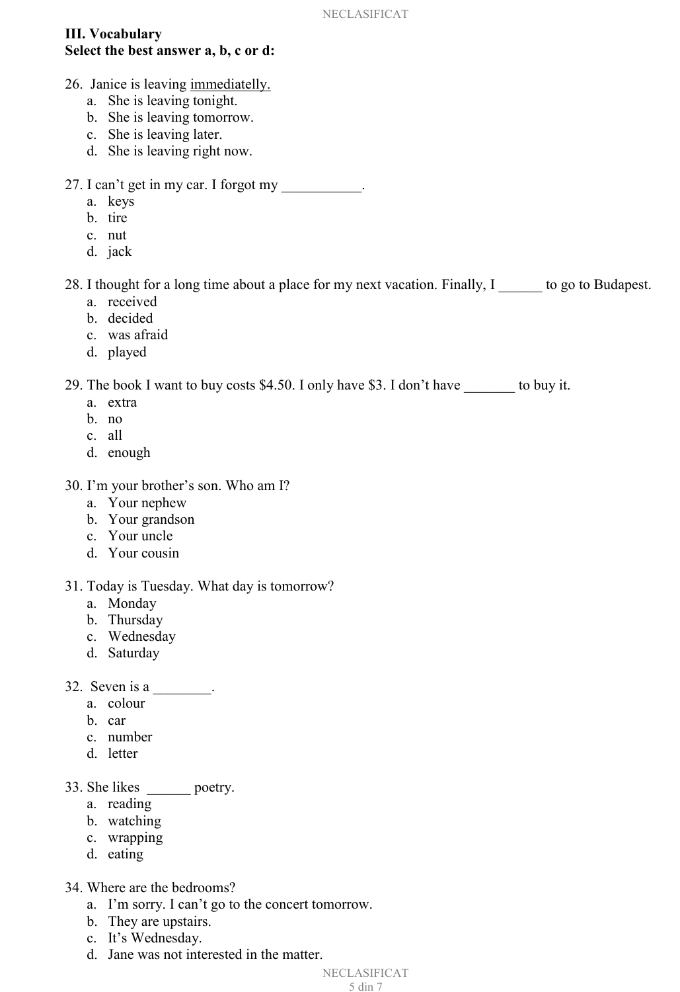## **III. Vocabulary Select the best answer a, b, c or d:**

- 26. Janice is leaving immediatelly.
	- a. She is leaving tonight.
	- b. She is leaving tomorrow.
	- c. She is leaving later.
	- d. She is leaving right now.
- 27. I can't get in my car. I forgot my
	- a. keys
	- b. tire
	- c. nut
	- d. jack

28. I thought for a long time about a place for my next vacation. Finally, I bo go to Budapest.

- a. received
- b. decided
- c. was afraid
- d. played

29. The book I want to buy costs \$4.50. I only have \$3. I don't have \_\_\_\_\_\_\_ to buy it.

- a. extra
- b. no
- c. all
- d. enough
- 30. I'm your brother's son. Who am I?
	- a. Your nephew
	- b. Your grandson
	- c. Your uncle
	- d. Your cousin

# 31. Today is Tuesday. What day is tomorrow?

- a. Monday
- b. Thursday
- c. Wednesday
- d. Saturday
- 32. Seven is a \_\_\_\_\_\_\_.
	- a. colour
	- b. car
	- c. number
	- d. letter

# 33. She likes \_\_\_\_\_\_ poetry.

- a. reading
- b. watching
- c. wrapping
- d. eating
- 34. Where are the bedrooms?
	- a. I'm sorry. I can't go to the concert tomorrow.
	- b. They are upstairs.
	- c. It's Wednesday.
	- d. Jane was not interested in the matter.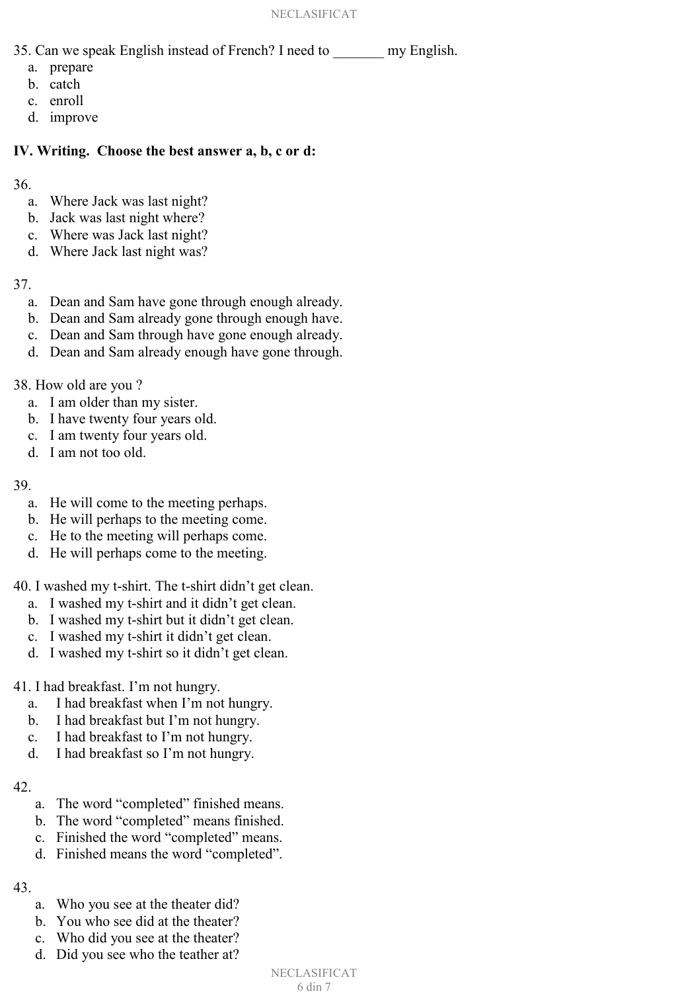- 35. Can we speak English instead of French? I need to my English.
	- a. prepare
	- b. catch
	- c. enroll
	- d. improve

## **IV. Writing. Choose the best answer a, b, c or d:**

36.

- a. Where Jack was last night?
- b. Jack was last night where?
- c. Where was Jack last night?
- d. Where Jack last night was?

## 37.

- a. Dean and Sam have gone through enough already.
- b. Dean and Sam already gone through enough have.
- c. Dean and Sam through have gone enough already.
- d. Dean and Sam already enough have gone through.
- 38. How old are you ?
	- a. I am older than my sister.
	- b. I have twenty four years old.
	- c. I am twenty four years old.
	- d. I am not too old.

# 39.

- a. He will come to the meeting perhaps.
- b. He will perhaps to the meeting come.
- c. He to the meeting will perhaps come.
- d. He will perhaps come to the meeting.
- 40. I washed my t-shirt. The t-shirt didn't get clean.
	- a. I washed my t-shirt and it didn't get clean.
	- b. I washed my t-shirt but it didn't get clean.
	- c. I washed my t-shirt it didn't get clean.
	- d. I washed my t-shirt so it didn't get clean.
- 41. I had breakfast. I'm not hungry.
	- a. I had breakfast when I'm not hungry.
	- b. I had breakfast but I'm not hungry.
	- c. I had breakfast to I'm not hungry.
	- d. I had breakfast so I'm not hungry.

# 42.

- a. The word "completed" finished means.
- b. The word "completed" means finished.
- c. Finished the word "completed" means.
- d. Finished means the word "completed".

# 43.

- a. Who you see at the theater did?
- b. You who see did at the theater?
- c. Who did you see at the theater?
- d. Did you see who the teather at?